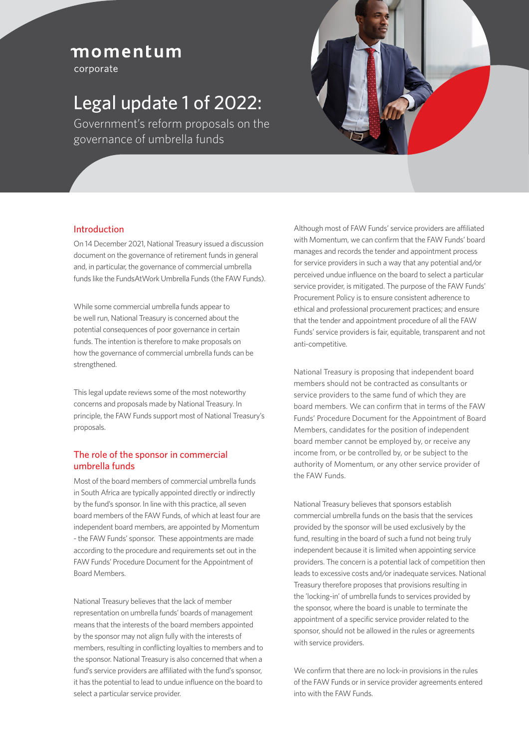## momentum

corporate

# Legal update 1 of 2022:

Government's reform proposals on the governance of umbrella funds



### Introduction

On 14 December 2021, National Treasury issued a discussion document on the governance of retirement funds in general and, in particular, the governance of commercial umbrella funds like the FundsAtWork Umbrella Funds (the FAW Funds).

While some commercial umbrella funds appear to be well run, National Treasury is concerned about the potential consequences of poor governance in certain funds. The intention is therefore to make proposals on how the governance of commercial umbrella funds can be strengthened.

This legal update reviews some of the most noteworthy concerns and proposals made by National Treasury. In principle, the FAW Funds support most of National Treasury's proposals.

#### The role of the sponsor in commercial umbrella funds

Most of the board members of commercial umbrella funds in South Africa are typically appointed directly or indirectly by the fund's sponsor. In line with this practice, all seven board members of the FAW Funds, of which at least four are independent board members, are appointed by Momentum - the FAW Funds' sponsor. These appointments are made according to the procedure and requirements set out in the FAW Funds' Procedure Document for the Appointment of Board Members.

National Treasury believes that the lack of member representation on umbrella funds' boards of management means that the interests of the board members appointed by the sponsor may not align fully with the interests of members, resulting in conflicting loyalties to members and to the sponsor. National Treasury is also concerned that when a fund's service providers are affiliated with the fund's sponsor, it has the potential to lead to undue influence on the board to select a particular service provider.

Although most of FAW Funds' service providers are affiliated with Momentum, we can confirm that the FAW Funds' board manages and records the tender and appointment process for service providers in such a way that any potential and/or perceived undue influence on the board to select a particular service provider, is mitigated. The purpose of the FAW Funds' Procurement Policy is to ensure consistent adherence to ethical and professional procurement practices; and ensure that the tender and appointment procedure of all the FAW Funds' service providers is fair, equitable, transparent and not anti-competitive.

National Treasury is proposing that independent board members should not be contracted as consultants or service providers to the same fund of which they are board members. We can confirm that in terms of the FAW Funds' Procedure Document for the Appointment of Board Members, candidates for the position of independent board member cannot be employed by, or receive any income from, or be controlled by, or be subject to the authority of Momentum, or any other service provider of the FAW Funds.

National Treasury believes that sponsors establish commercial umbrella funds on the basis that the services provided by the sponsor will be used exclusively by the fund, resulting in the board of such a fund not being truly independent because it is limited when appointing service providers. The concern is a potential lack of competition then leads to excessive costs and/or inadequate services. National Treasury therefore proposes that provisions resulting in the 'locking-in' of umbrella funds to services provided by the sponsor, where the board is unable to terminate the appointment of a specific service provider related to the sponsor, should not be allowed in the rules or agreements with service providers.

We confirm that there are no lock-in provisions in the rules of the FAW Funds or in service provider agreements entered into with the FAW Funds.